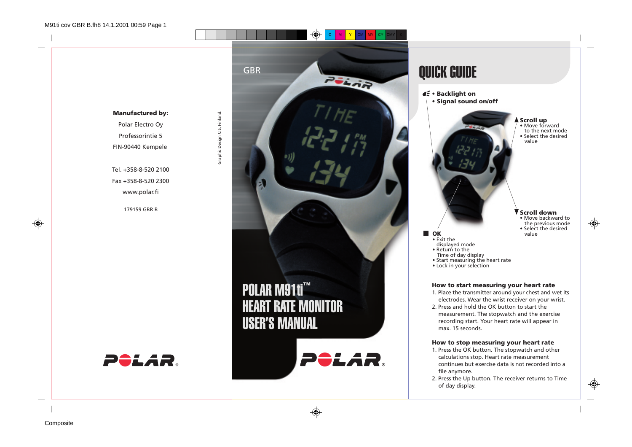www.polar.fi

179159 GBR B



◈

# QUICK GUIDE









⊕

- 
- Exit the displayed mode Return to the

**D** OK

- 
- 
- Time of day display Start measuring the heart rate Lock in your selection
- 

### **How to start measuring your heart rate**

- 1. Place the transmitter around your chest and wet its electrodes. Wear the wrist receiver on your wrist.
- 2. Press and hold the OK button to start the measurement. The stopwatch and the exercise recording start. Your heart rate will appear in max. 15 seconds.

### **How to stop measuring your heart rate**

- 1. Press the OK button. The stopwatch and other calculations stop. Heart rate measurement continues but exercise data is not recorded into a file anymore.
- 2. Press the Up button. The receiver returns to Time of day display.

**Composite** 

◈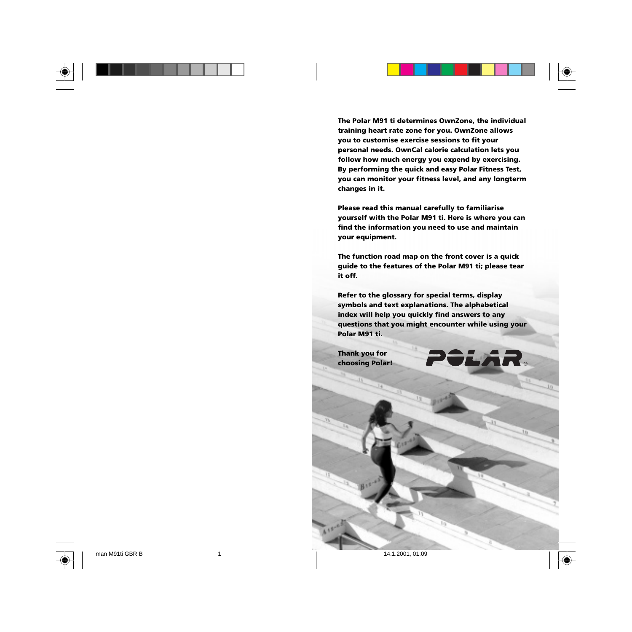

LAR.

◈

**The Polar M91 ti determines OwnZone, the individual training heart rate zone for you. OwnZone allows you to customise exercise sessions to fit your personal needs. OwnCal calorie calculation lets you follow how much energy you expend by exercising. By performing the quick and easy Polar Fitness Test, you can monitor your fitness level, and any longterm changes in it.**

**Please read this manual carefully to familiarise yourself with the Polar M91 ti. Here is where you can find the information you need to use and maintain your equipment.**

**The function road map on the front cover is a quick guide to the features of the Polar M91 ti; please tear it off.**

**Refer to the glossary for special terms, display symbols and text explanations. The alphabetical index will help you quickly find answers to any questions that you might encounter while using your Polar M91 ti.**

**Thank you for choosing Polar!**

man M91ti GBR B 1 14.1.2001, 01:09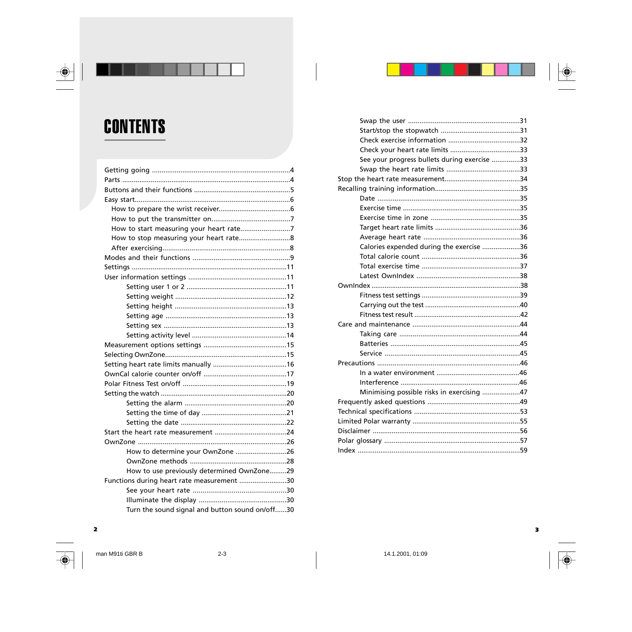



 $\triangle$ 

| How to determine your OwnZone 26                |  |
|-------------------------------------------------|--|
|                                                 |  |
| How to use previously determined OwnZone29      |  |
| Functions during heart rate measurement 30      |  |
|                                                 |  |
|                                                 |  |
| Turn the sound signal and button sound on/off30 |  |

| See your progress bullets during exercise 33 |
|----------------------------------------------|
|                                              |
|                                              |
|                                              |
|                                              |
|                                              |
|                                              |
|                                              |
|                                              |
| Calories expended during the exercise 36     |
|                                              |
|                                              |
|                                              |
|                                              |
|                                              |
|                                              |
|                                              |
|                                              |
|                                              |
|                                              |
|                                              |
|                                              |
|                                              |
|                                              |
| Minimising possible risks in exercising 47   |
|                                              |
|                                              |
|                                              |
|                                              |
|                                              |
|                                              |

 $\overline{\mathbf{2}}$ 

man M91ti GBR B



 $2 - 3$ 

14.1.2001, 01:09

 $\overline{\mathbf{3}}$ 

 $\overline{\bigcirc}$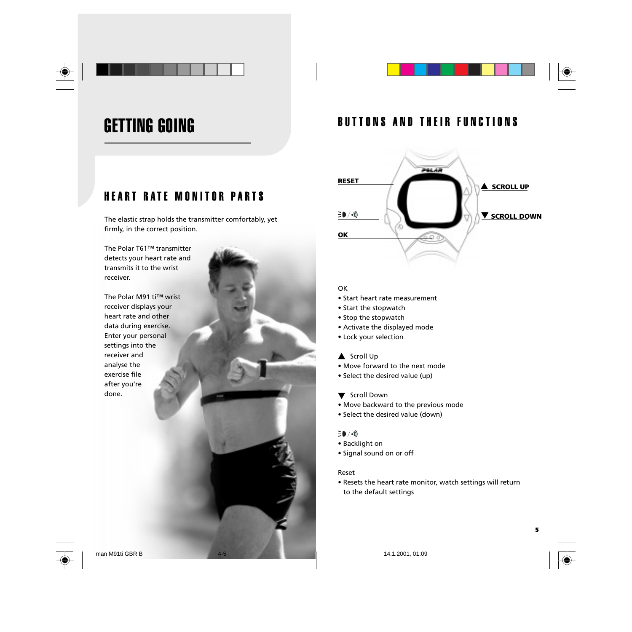

## GETTING GOING

## HEART RATE MONITOR PARTS

The elastic strap holds the transmitter comfortably, yet firmly, in the correct position.

The Polar T61™ transmitter detects your heart rate and transmits it to the wrist receiver.

The Polar M91 ti™ wrist receiver displays your heart rate and other data during exercise. Enter your personal settings into the receiver and analyse the exercise file after you're done.

## BUTTONS AND THEIR FUNCTIONS



### OK

- Start heart rate measurement
- Start the stopwatch
- Stop the stopwatch
- Activate the displayed mode
- Lock your selection

### ▲ Scroll Up

- Move forward to the next mode
- Select the desired value (up)
- **V** Scroll Down
- Move backward to the previous mode
- Select the desired value (down)

### $\Xi$  (  $\langle \cdot \rangle$

- Backlight on
- Signal sound on or off

### Reset

**4 5**

• Resets the heart rate monitor, watch settings will return to the default settings



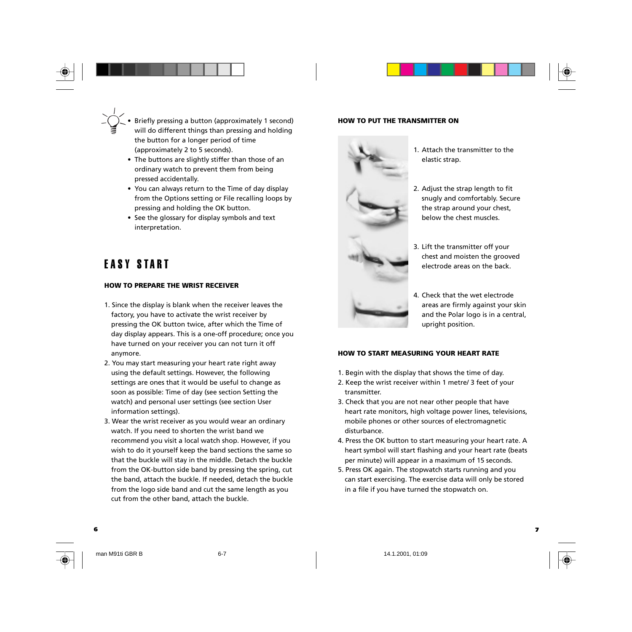

- The buttons are slightly stiffer than those of an ordinary watch to prevent them from being pressed accidentally.
- You can always return to the Time of day display from the Options setting or File recalling loops by pressing and holding the OK button.
- See the glossary for display symbols and text interpretation.

## EASY START

### **HOW TO PREPARE THE WRIST RECEIVER**

- 1. Since the display is blank when the receiver leaves the factory, you have to activate the wrist receiver by pressing the OK button twice, after which the Time of day display appears. This is a one-off procedure; once you have turned on your receiver you can not turn it off anymore.
- 2. You may start measuring your heart rate right away using the default settings. However, the following settings are ones that it would be useful to change as soon as possible: Time of day (see section Setting the watch) and personal user settings (see section User information settings).
- 3. Wear the wrist receiver as you would wear an ordinary watch. If you need to shorten the wrist band we recommend you visit a local watch shop. However, if you wish to do it yourself keep the band sections the same so that the buckle will stay in the middle. Detach the buckle from the OK-button side band by pressing the spring, cut the band, attach the buckle. If needed, detach the buckle from the logo side band and cut the same length as you cut from the other band, attach the buckle.

### **HOW TO PUT THE TRANSMITTER ON**



- 1. Attach the transmitter to the elastic strap.
- 2. Adjust the strap length to fit snugly and comfortably. Secure the strap around your chest, below the chest muscles.
- 3. Lift the transmitter off your chest and moisten the grooved electrode areas on the back.



4. Check that the wet electrode areas are firmly against your skin and the Polar logo is in a central, upright position.

### **HOW TO START MEASURING YOUR HEART RATE**

- 1. Begin with the display that shows the time of day.
- 2. Keep the wrist receiver within 1 metre/ 3 feet of your transmitter.
- 3. Check that you are not near other people that have heart rate monitors, high voltage power lines, televisions, mobile phones or other sources of electromagnetic disturbance.
- 4. Press the OK button to start measuring your heart rate. A heart symbol will start flashing and your heart rate (beats per minute) will appear in a maximum of 15 seconds.
- 5. Press OK again. The stopwatch starts running and you can start exercising. The exercise data will only be stored in a file if you have turned the stopwatch on.

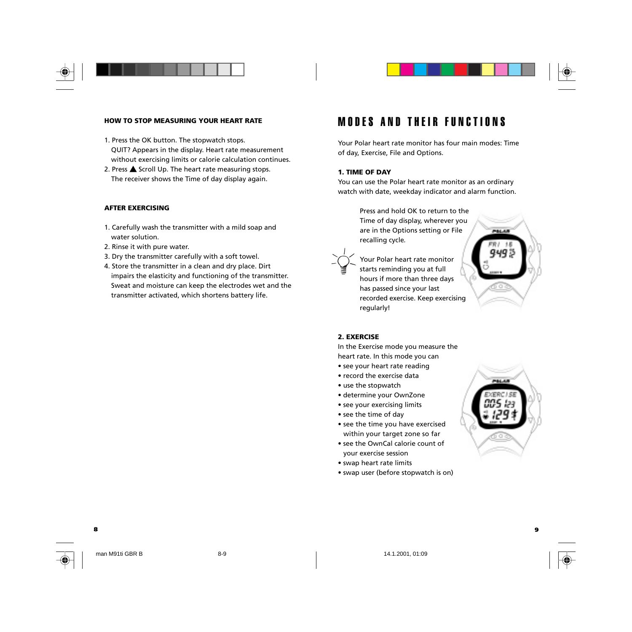



### **HOW TO STOP MEASURING YOUR HEART RATE**

- 1. Press the OK button. The stopwatch stops. QUIT? Appears in the display. Heart rate measurement without exercising limits or calorie calculation continues.
- 2. Press  $\triangle$  Scroll Up. The heart rate measuring stops. The receiver shows the Time of day display again.

#### **AFTER EXERCISING**

- 1. Carefully wash the transmitter with a mild soap and water solution.
- 2. Rinse it with pure water.
- 3. Dry the transmitter carefully with a soft towel.
- 4. Store the transmitter in a clean and dry place. Dirt impairs the elasticity and functioning of the transmitter. Sweat and moisture can keep the electrodes wet and the transmitter activated, which shortens battery life.

### MODES AND THEIR FUNCTIONS

Your Polar heart rate monitor has four main modes: Time of day, Exercise, File and Options.

#### **1. TIME OF DAY**

You can use the Polar heart rate monitor as an ordinary watch with date, weekday indicator and alarm function.

> Press and hold OK to return to the Time of day display, wherever you are in the Options setting or File recalling cycle*.*



Your Polar heart rate monitor starts reminding you at full hours if more than three days has passed since your last recorded exercise. Keep exercising regularly!



#### **2. EXERCISE**

In the Exercise mode you measure the heart rate. In this mode you can

- see your heart rate reading
- record the exercise data
- use the stopwatch
- determine your OwnZone
- see your exercising limits
- see the time of day
- see the time you have exercised within your target zone so far
- see the OwnCal calorie count of your exercise session
- swap heart rate limits

**8 9**

• swap user (before stopwatch is on)

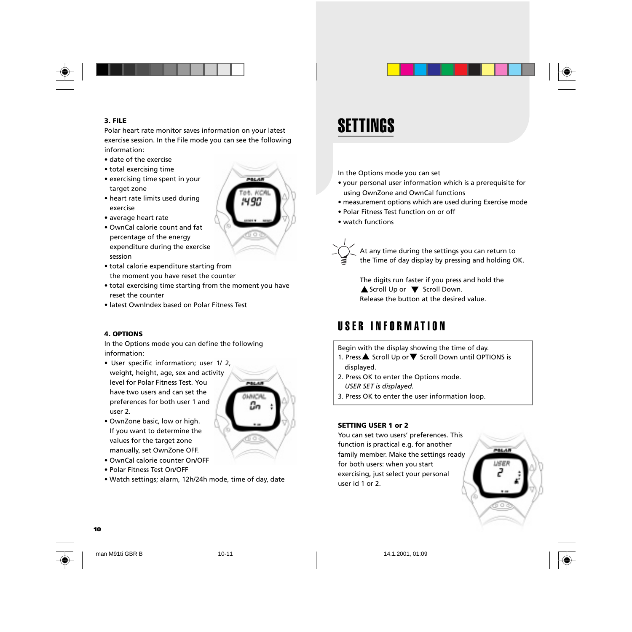

### **3. FILE**

Polar heart rate monitor saves information on your latest exercise session. In the File mode you can see the following information:

- date of the exercise
- total exercising time
- exercising time spent in your target zone
- heart rate limits used during exercise
- average heart rate
- OwnCal calorie count and fat percentage of the energy expenditure during the exercise session
- total calorie expenditure starting from the moment you have reset the counter
- total exercising time starting from the moment you have reset the counter
- latest OwnIndex based on Polar Fitness Test

### **4. OPTIONS**

In the Options mode you can define the following information:

• User specific information; user 1/ 2, weight, height, age, sex and activity level for Polar Fitness Test. You have two users and can set the preferences for both user 1 and user 2.



POLAI

490

manually, set OwnZone OFF. • OwnCal calorie counter On/OFF

• OwnZone basic, low or high. If you want to determine the values for the target zone

- Polar Fitness Test On/OFF
- Watch settings; alarm, 12h/24h mode, time of day, date

## SETTINGS

- In the Options mode you can set
- your personal user information which is a prerequisite for using OwnZone and OwnCal functions
- measurement options which are used during Exercise mode
- Polar Fitness Test function on or off
- watch functions

At any time during the settings you can return to

the Time of day display by pressing and holding OK.

The digits run faster if you press and hold the Scroll Up or  $\nabla$  Scroll Down. Release the button at the desired value.

### USER INFORMATION

Begin with the display showing the time of day.

- 1. Press $\triangle$  Scroll Up or  $\nabla$  Scroll Down until OPTIONS is
- displayed.
- 2. Press OK to enter the Options mode. *USER SET is displayed.*
- 3. Press OK to enter the user information loop.

### **SETTING USER 1 or 2**

You can set two users' preferences. This function is practical e.g. for another family member. Make the settings ready for both users: when you start exercising, just select your personal user id 1 or 2.







man M91ti GBR B 10-11 14.1.2001, 01:09

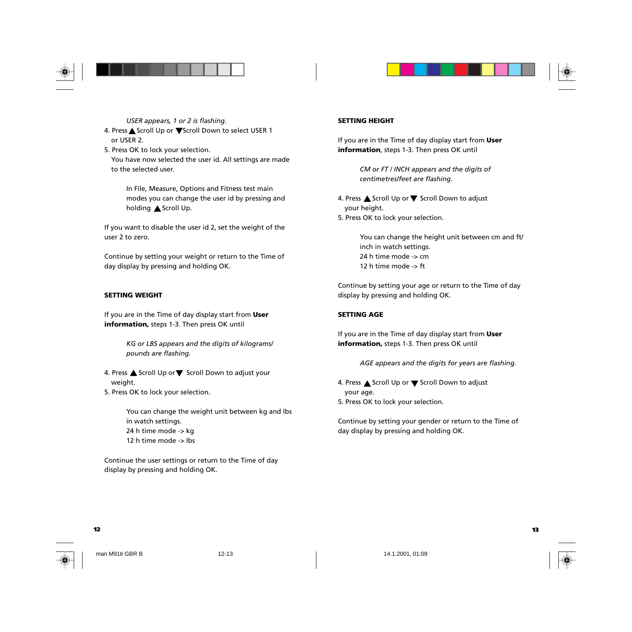



*USER appears, 1 or 2 is flashing.* 4. Press <a>
Scroll Up or<br/>  $\nabla$ <br/>Scroll Down to select USER 1 or USER 2.

5. Press OK to lock your selection. You have now selected the user id. All settings are made to the selected user.

> In File, Measure, Options and Fitness test main modes you can change the user id by pressing and holding <a>
> Scroll Up.

If you want to disable the user id 2, set the weight of the user 2 to zero.

Continue by setting your weight or return to the Time of day display by pressing and holding OK.

### **SETTING WEIGHT**

If you are in the Time of day display start from **User information,** steps 1-3. Then press OK until

> *KG or LBS appears and the digits of kilograms/ pounds are flashing.*

4. Press  $\triangle$  Scroll Up or  $\nabla$  Scroll Down to adjust your weight. 5. Press OK to lock your selection.

> You can change the weight unit between kg and lbs in watch settings. 24 h time mode -> kg 12 h time mode -> lbs

Continue the user settings or return to the Time of day display by pressing and holding OK.

#### **SETTING HEIGHT**

If you are in the Time of day display start from **User information**, steps 1-3. Then press OK until

> *CM or FT / INCH appears and the digits of centimetres/feet are flashing.*

4. Press ▲ Scroll Up or ▼ Scroll Down to adjust your height. 5. Press OK to lock your selection.

> You can change the height unit between cm and ft/ inch in watch settings. 24 h time mode -> cm 12 h time mode -> ft

Continue by setting your age or return to the Time of day display by pressing and holding OK.

### **SETTING AGE**

If you are in the Time of day display start from **User information,** steps 1-3. Then press OK until

*AGE appears and the digits for years are flashing.*

4. Press <a>Scroll Up or<a> $\nabla$  Scroll Down to adjust your age. 5. Press OK to lock your selection.

Continue by setting your gender or return to the Time of day display by pressing and holding OK.



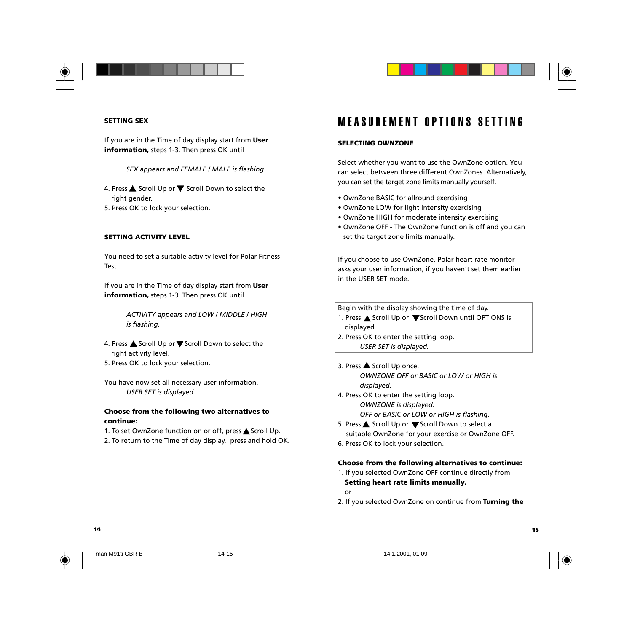



### **SETTING SEX**

If you are in the Time of day display start from **User information,** steps 1-3. Then press OK until

*SEX appears and FEMALE / MALE is flashing.*

4. Press  $\triangle$  Scroll Up or  $\nabla$  Scroll Down to select the right gender.

5. Press OK to lock your selection.

#### **SETTING ACTIVITY LEVEL**

You need to set a suitable activity level for Polar Fitness Test.

If you are in the Time of day display start from **User information,** steps 1-3. Then press OK until

> *ACTIVITY appears and LOW / MIDDLE / HIGH is flashing.*

4. Press ▲ Scroll Up or ▼ Scroll Down to select the right activity level. 5. Press OK to lock your selection.

You have now set all necessary user information. *USER SET is displayed.*

### **Choose from the following two alternatives to continue:**

1. To set OwnZone function on or off, press Scroll Up. 2. To return to the Time of day display, press and hold OK.

### MEASUREMENT OPTIONS SETTING

### **SELECTING OWNZONE**

Select whether you want to use the OwnZone option. You can select between three different OwnZones. Alternatively, you can set the target zone limits manually yourself.

- OwnZone BASIC for allround exercising
- OwnZone LOW for light intensity exercising
- OwnZone HIGH for moderate intensity exercising
- OwnZone OFF The OwnZone function is off and you can set the target zone limits manually.

If you choose to use OwnZone, Polar heart rate monitor asks your user information, if you haven't set them earlier in the USER SET mode.

Begin with the display showing the time of day.

- 1. Press ▲ Scroll Up or ▼ Scroll Down until OPTIONS is
- displayed.
- 2. Press OK to enter the setting loop. *USER SET is displayed.*

3. Press  $\triangle$  Scroll Up once. *OWNZONE OFF or BASIC or LOW or HIGH is displayed.*

- 4. Press OK to enter the setting loop. *OWNZONE is displayed. OFF or BASIC or LOW or HIGH is flashing.*
- 5. Press ▲ Scroll Up or ▼ Scroll Down to select a suitable OwnZone for your exercise or OwnZone OFF.
- 6. Press OK to lock your selection.

#### **Choose from the following alternatives to continue:**

### 1. If you selected OwnZone OFF continue directly from **Setting heart rate limits manually.**

- or
- 2. If you selected OwnZone on continue from **Turning the**

**14 15**



man M91ti GBR B 14-15 14.1.2001, 01:09

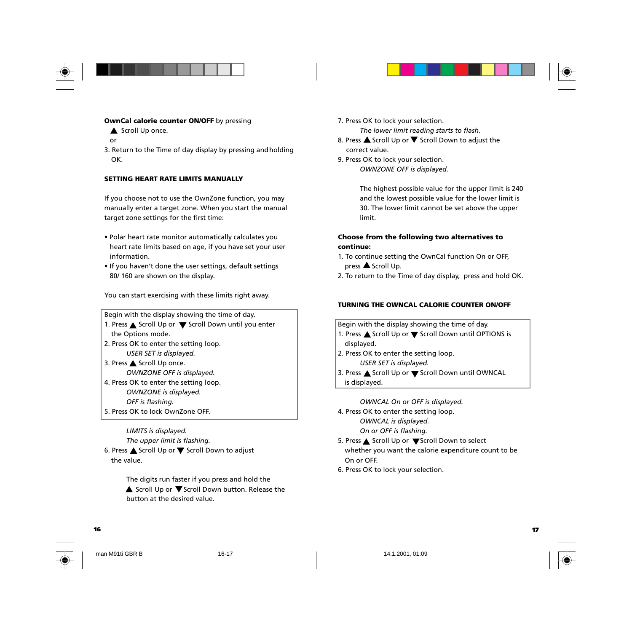



- Scroll Up once.
- or
- 3. Return to the Time of day display by pressing andholding OK.

#### **SETTING HEART RATE LIMITS MANUALLY**

If you choose not to use the OwnZone function, you may manually enter a target zone. When you start the manual target zone settings for the first time:

- Polar heart rate monitor automatically calculates you heart rate limits based on age, if you have set your user information.
- If you haven't done the user settings, default settings 80/ 160 are shown on the display.

You can start exercising with these limits right away.

Begin with the display showing the time of day. 1. Press  $\triangle$  Scroll Up or  $\nabla$  Scroll Down until you enter the Options mode. 2. Press OK to enter the setting loop. *USER SET is displayed.* 3. Press ▲ Scroll Up once. *OWNZONE OFF is displayed.* 4. Press OK to enter the setting loop. *OWNZONE is displayed. OFF is flashing.* 5. Press OK to lock OwnZone OFF.

*LIMITS is displayed. The upper limit is flashing.* 6. Press  $\triangle$  Scroll Up or  $\nabla$  Scroll Down to adjust the value.

> The digits run faster if you press and hold the ▲ Scroll Up or ▼ Scroll Down button. Release the button at the desired value.

7. Press OK to lock your selection. *The lower limit reading starts to flash.*

- 8. Press  $\triangle$  Scroll Up or  $\nabla$  Scroll Down to adjust the correct value.
- 9. Press OK to lock your selection.

*OWNZONE OFF is displayed.*

The highest possible value for the upper limit is 240 and the lowest possible value for the lower limit is 30. The lower limit cannot be set above the upper limit.

#### **Choose from the following two alternatives to continue:**

- 1. To continue setting the OwnCal function On or OFF, press **A** Scroll Up.
- 2. To return to the Time of day display, press and hold OK.

### **TURNING THE OWNCAL CALORIE COUNTER ON/OFF**

Begin with the display showing the time of day. 1. Press  $\triangle$  Scroll Up or  $\nabla$  Scroll Down until OPTIONS is displayed.

- 2. Press OK to enter the setting loop. *USER SET is displayed.*
- 3. Press ▲ Scroll Up or ▼ Scroll Down until OWNCAL is displayed.

*OWNCAL On or OFF is displayed.* 4. Press OK to enter the setting loop. *OWNCAL is displayed. On or OFF is flashing.*

- 5. Press ▲ Scroll Up or ▼Scroll Down to select whether you want the calorie expenditure count to be On or OFF.
- 6. Press OK to lock your selection.





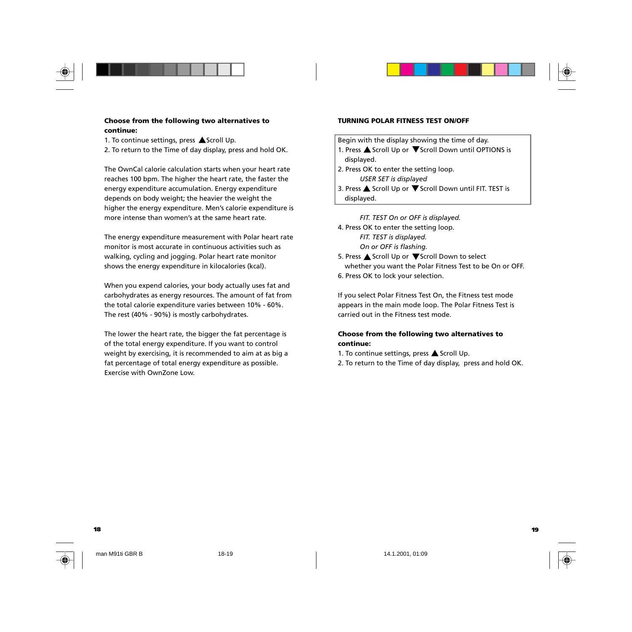

### **Choose from the following two alternatives to continue:**

1. To continue settings, press  $\triangle$  Scroll Up.

2. To return to the Time of day display, press and hold OK.

The OwnCal calorie calculation starts when your heart rate reaches 100 bpm. The higher the heart rate, the faster the energy expenditure accumulation. Energy expenditure depends on body weight; the heavier the weight the higher the energy expenditure. Men's calorie expenditure is more intense than women's at the same heart rate.

The energy expenditure measurement with Polar heart rate monitor is most accurate in continuous activities such as walking, cycling and jogging. Polar heart rate monitor shows the energy expenditure in kilocalories (kcal).

When you expend calories, your body actually uses fat and carbohydrates as energy resources. The amount of fat from the total calorie expenditure varies between 10% - 60%. The rest (40% - 90%) is mostly carbohydrates.

The lower the heart rate, the bigger the fat percentage is of the total energy expenditure. If you want to control weight by exercising, it is recommended to aim at as big a fat percentage of total energy expenditure as possible. Exercise with OwnZone Low.

#### **TURNING POLAR FITNESS TEST ON/OFF**

Begin with the display showing the time of day.

- 1. Press  $\triangle$  Scroll Up or  $\nabla$  Scroll Down until OPTIONS is displayed.
- 2. Press OK to enter the setting loop. *USER SET is displayed*
- 3. Press ▲ Scroll Up or ▼ Scroll Down until FIT. TEST is displayed.

*FIT. TEST On or OFF is displayed.* 4. Press OK to enter the setting loop. *FIT. TEST is displayed. On or OFF is flashing.* 5. Press ▲ Scroll Up or ▼ Scroll Down to select

whether you want the Polar Fitness Test to be On or OFF. 6. Press OK to lock your selection.

If you select Polar Fitness Test On, the Fitness test mode appears in the main mode loop. The Polar Fitness Test is carried out in the Fitness test mode.

### **Choose from the following two alternatives to continue:**

1. To continue settings, press  $\triangle$  Scroll Up.

2. To return to the Time of day display, press and hold OK.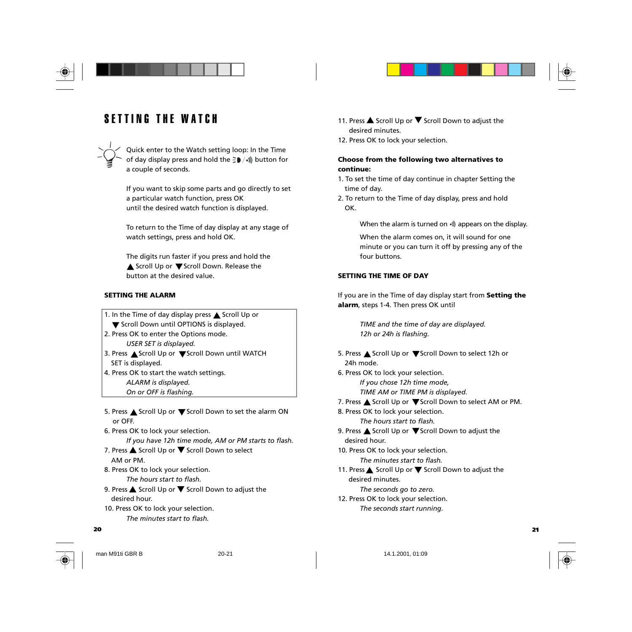



Quick enter to the Watch setting loop: In the Time of day display press and hold the  $\frac{1}{2}\bullet$  /•)) button for a couple of seconds.

If you want to skip some parts and go directly to set a particular watch function, press OK until the desired watch function is displayed.

To return to the Time of day display at any stage of watch settings, press and hold OK.

The digits run faster if you press and hold the Scroll Up or  $\nabla$  Scroll Down. Release the button at the desired value.

#### **SETTING THE ALARM**

1. In the Time of day display press  $\triangle$  Scroll Up or **V** Scroll Down until OPTIONS is displayed. 2. Press OK to enter the Options mode. *USER SET is displayed.* 3. Press ▲ Scroll Up or ▼ Scroll Down until WATCH SET is displayed. 4. Press OK to start the watch settings. *ALARM is displayed. On or OFF is flashing.*

- 5. Press ▲ Scroll Up or ▼ Scroll Down to set the alarm ON or OFF.
- 6. Press OK to lock your selection. *If you have 12h time mode, AM or PM starts to flash.*
- 7. Press ▲ Scroll Up or ▼ Scroll Down to select AM or PM.

8. Press OK to lock your selection. *The hours start to flash.*

9. Press  $\triangle$  Scroll Up or  $\nabla$  Scroll Down to adjust the desired hour. 10. Press OK to lock your selection.

*The minutes start to flash.*

#### **20 21**

- 11. Press  $\triangle$  Scroll Up or  $\nabla$  Scroll Down to adjust the desired minutes.
- 12. Press OK to lock your selection.

### **Choose from the following two alternatives to continue:**

- 1. To set the time of day continue in chapter Setting the time of day.
- 2. To return to the Time of day display, press and hold OK.

When the alarm is turned on  $\sqrt{m}$  appears on the display.

When the alarm comes on, it will sound for one minute or you can turn it off by pressing any of the four buttons.

### **SETTING THE TIME OF DAY**

If you are in the Time of day display start from **Setting the alarm**, steps 1-4. Then press OK until

> *TIME and the time of day are displayed. 12h or 24h is flashing.*

- 5. Press ▲ Scroll Up or ▼ Scroll Down to select 12h or 24h mode.
- 6. Press OK to lock your selection. *If you chose 12h time mode, TIME AM or TIME PM is displayed.*
- 7. Press  $\triangle$  Scroll Up or  $\nabla$  Scroll Down to select AM or PM.
- 8. Press OK to lock your selection. *The hours start to flash.*
- 9. Press  $\triangle$  Scroll Up or  $\nabla$  Scroll Down to adjust the desired hour.
- 10. Press OK to lock your selection. *The minutes start to flash.*
- 11. Press  $\triangle$  Scroll Up or  $\nabla$  Scroll Down to adjust the desired minutes.
	- *The seconds go to zero.*
- 12. Press OK to lock your selection. *The seconds start running.*



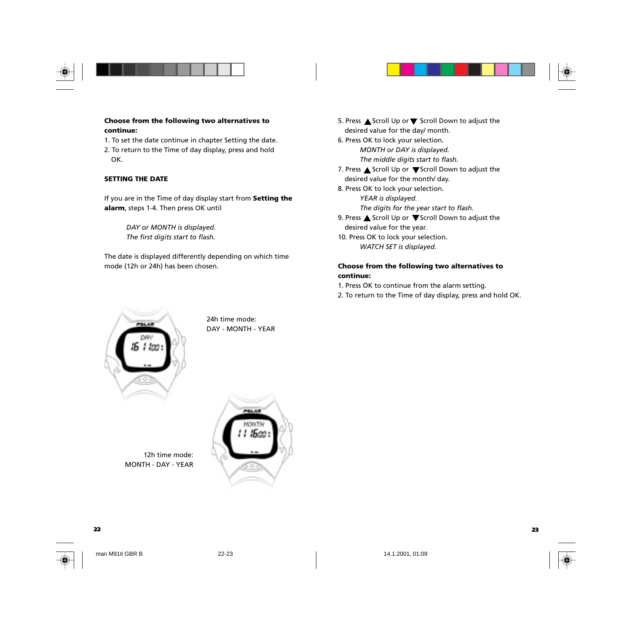



### **Choose from the following two alternatives to continue:**

1. To set the date continue in chapter Setting the date. 2. To return to the Time of day display, press and hold

OK.

### **SETTING THE DATE**

If you are in the Time of day display start from **Setting the alarm**, steps 1-4. Then press OK until

> *DAY or MONTH is displayed. The first digits start to flash.*

The date is displayed differently depending on which time mode (12h or 24h) has been chosen.

5. Press  $\triangle$  Scroll Up or  $\nabla$  Scroll Down to adjust the desired value for the day/ month. 6. Press OK to lock your selection. *MONTH or DAY is displayed. The middle digits start to flash.* 7. Press  $\triangle$  Scroll Up or  $\nabla$  Scroll Down to adjust the desired value for the month/ day. 8. Press OK to lock your selection. *YEAR is displayed. The digits for the year start to flash.* 9. Press  $\triangle$  Scroll Up or  $\nabla$  Scroll Down to adjust the desired value for the year.

10. Press OK to lock your selection. *WATCH SET is displayed.*

### **Choose from the following two alternatives to continue:**

1. Press OK to continue from the alarm setting.

2. To return to the Time of day display, press and hold OK.



24h time mode: DAY - MONTH - YEAR

12h time mode: MONTH - DAY - YEAR





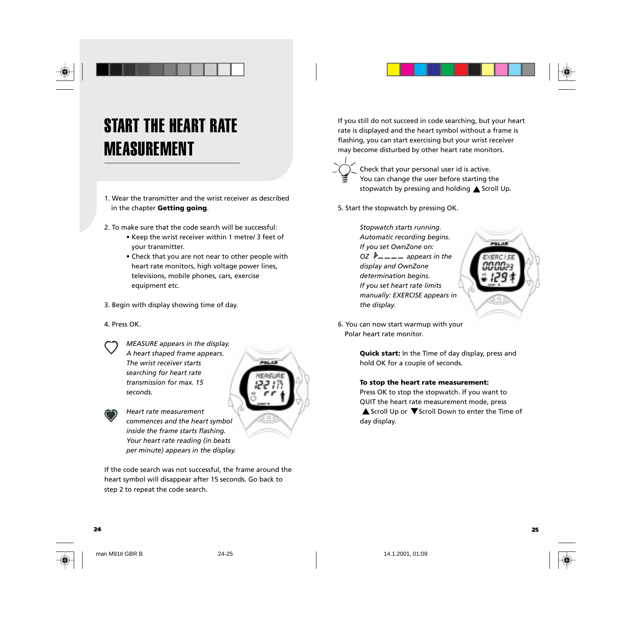# START THE HEART RATE MEASUREMENT

1. Wear the transmitter and the wrist receiver as described in the chapter **Getting going**.

2. To make sure that the code search will be successful:

- Keep the wrist receiver within 1 metre/ 3 feet of your transmitter.
- Check that you are not near to other people with heart rate monitors, high voltage power lines, televisions, mobile phones, cars, exercise equipment etc.

3. Begin with display showing time of day.

4. Press OK.

*MEASURE appears in the display. A heart shaped frame appears. The wrist receiver starts searching for heart rate transmission for max. 15 seconds.*

*Heart rate measurement commences and the heart symbol inside the frame starts flashing. Your heart rate reading (in beats per minute) appears in the display.*

If the code search was not successful, the frame around the heart symbol will disappear after 15 seconds. Go back to step 2 to repeat the code search.

If you still do not succeed in code searching, but your heart rate is displayed and the heart symbol without a frame is flashing, you can start exercising but your wrist receiver may become disturbed by other heart rate monitors.

Check that your personal user id is active. You can change the user before starting the stopwatch by pressing and holding A Scroll Up.

5. Start the stopwatch by pressing OK.

*Stopwatch starts running. Automatic recording begins. If you set OwnZone on: OZ*  $\mu$ <sub>m</sub><sub>m</sub><sub>m</sub><sub>m</sub> appears in the *display and OwnZone determination begins. If you set heart rate limits manually: EXERCISE appears in the display.*



6. You can now start warmup with your Polar heart rate monitor.

> **Quick start:** In the Time of day display, press and hold OK for a couple of seconds.

#### **To stop the heart rate measurement:**

Press OK to stop the stopwatch. If you want to QUIT the heart rate measurement mode, press ▲ Scroll Up or ▼ Scroll Down to enter the Time of day display.

**24 25**



man M91ti GBR B 24-25 14.1.2001, 01:09

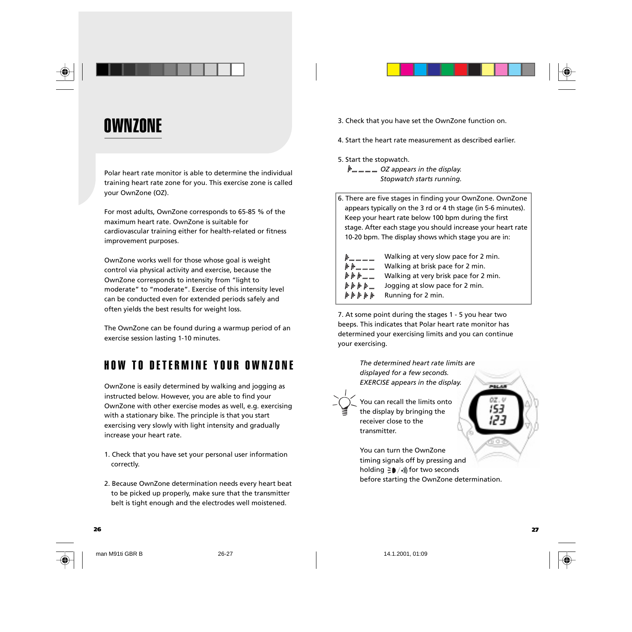



Polar heart rate monitor is able to determine the individual training heart rate zone for you. This exercise zone is called your OwnZone (OZ).

For most adults, OwnZone corresponds to 65-85 % of the maximum heart rate. OwnZone is suitable for cardiovascular training either for health-related or fitness improvement purposes.

OwnZone works well for those whose goal is weight control via physical activity and exercise, because the OwnZone corresponds to intensity from "light to moderate" to "moderate". Exercise of this intensity level can be conducted even for extended periods safely and often yields the best results for weight loss.

The OwnZone can be found during a warmup period of an exercise session lasting 1-10 minutes.

## HOW TO DETERMINE YOUR OWNZONE

OwnZone is easily determined by walking and jogging as instructed below. However, you are able to find your OwnZone with other exercise modes as well, e.g. exercising with a stationary bike. The principle is that you start exercising very slowly with light intensity and gradually increase your heart rate.

- 1. Check that you have set your personal user information correctly.
- 2. Because OwnZone determination needs every heart beat to be picked up properly, make sure that the transmitter belt is tight enough and the electrodes well moistened.

3. Check that you have set the OwnZone function on.

4. Start the heart rate measurement as described earlier.

- 5. Start the stopwatch.
	- *OZ appears in the display. Stopwatch starts running.*
- 6. There are five stages in finding your OwnZone. OwnZone appears typically on the 3 rd or 4 th stage (in 5-6 minutes). Keep your heart rate below 100 bpm during the first stage. After each stage you should increase your heart rate 10-20 bpm. The display shows which stage you are in:

| h                | Walking at very slow pace for 2 min.  |
|------------------|---------------------------------------|
|                  | Walking at brisk pace for 2 min.      |
| <i>トトト</i>       | Walking at very brisk pace for 2 min. |
|                  | Jogging at slow pace for 2 min.       |
| <i>በ በ በ በ በ</i> | Running for 2 min.                    |

7. At some point during the stages 1 - 5 you hear two beeps. This indicates that Polar heart rate monitor has determined your exercising limits and you can continue your exercising.

> *The determined heart rate limits are displayed for a few seconds. EXERCISE appears in the display.*



**26 27**

You can recall the limits onto the display by bringing the receiver close to the transmitter.

You can turn the OwnZone timing signals off by pressing and holding  $\exists \bullet / \bullet$ ) for two seconds before starting the OwnZone determination.



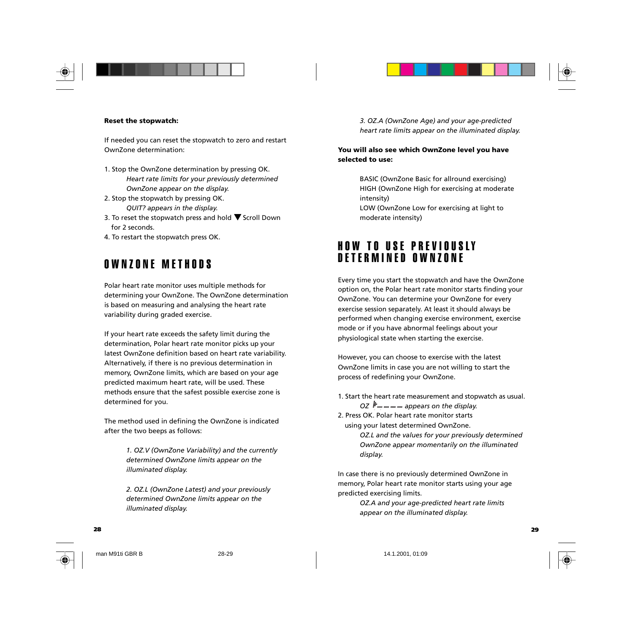



#### **Reset the stopwatch:**

If needed you can reset the stopwatch to zero and restart OwnZone determination:

- 1. Stop the OwnZone determination by pressing OK. *Heart rate limits for your previously determined OwnZone appear on the display.*
- 2. Stop the stopwatch by pressing OK. *QUIT? appears in the display.*
- 3. To reset the stopwatch press and hold  $\blacktriangledown$  Scroll Down for 2 seconds.
- 4. To restart the stopwatch press OK.

### OWNZONE METHODS

Polar heart rate monitor uses multiple methods for determining your OwnZone. The OwnZone determination is based on measuring and analysing the heart rate variability during graded exercise.

If your heart rate exceeds the safety limit during the determination, Polar heart rate monitor picks up your latest OwnZone definition based on heart rate variability. Alternatively, if there is no previous determination in memory, OwnZone limits, which are based on your age predicted maximum heart rate, will be used. These methods ensure that the safest possible exercise zone is determined for you.

The method used in defining the OwnZone is indicated after the two beeps as follows:

> *1. OZ.V (OwnZone Variability) and the currently determined OwnZone limits appear on the illuminated display.*

*2. OZ.L (OwnZone Latest) and your previously determined OwnZone limits appear on the illuminated display.*

*3. OZ.A (OwnZone Age) and your age-predicted heart rate limits appear on the illuminated display.*

### **You will also see which OwnZone level you have selected to use:**

BASIC (OwnZone Basic for allround exercising) HIGH (OwnZone High for exercising at moderate intensity) LOW (OwnZone Low for exercising at light to

moderate intensity)

### HOW TO USE PREVIOUSLY DETERMINED OWNZONE

Every time you start the stopwatch and have the OwnZone option on, the Polar heart rate monitor starts finding your OwnZone. You can determine your OwnZone for every exercise session separately. At least it should always be performed when changing exercise environment, exercise mode or if you have abnormal feelings about your physiological state when starting the exercise.

However, you can choose to exercise with the latest OwnZone limits in case you are not willing to start the process of redefining your OwnZone.

1. Start the heart rate measurement and stopwatch as usual. *OZ*  $\mu$ <sub>m</sub> m m appears on the display. 2. Press OK. Polar heart rate monitor starts

using your latest determined OwnZone. *OZ.L and the values for your previously determined OwnZone appear momentarily on the illuminated display.*

In case there is no previously determined OwnZone in memory, Polar heart rate monitor starts using your age predicted exercising limits.

> *OZ.A and your age-predicted heart rate limits appear on the illuminated display.*



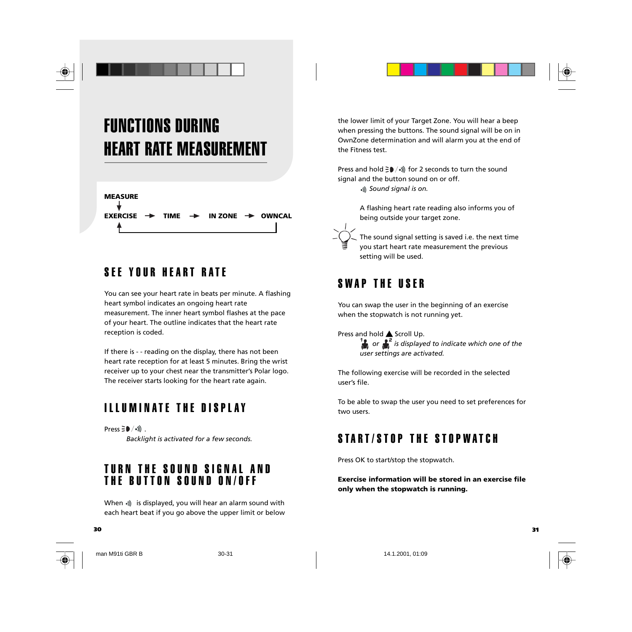

# FUNCTIONS DURING HEART RATE MEASUREMENT



## SEE YOUR HEART RATE

You can see your heart rate in beats per minute. A flashing heart symbol indicates an ongoing heart rate measurement. The inner heart symbol flashes at the pace of your heart. The outline indicates that the heart rate reception is coded.

If there is - - reading on the display, there has not been heart rate reception for at least 5 minutes. Bring the wrist receiver up to your chest near the transmitter's Polar logo. The receiver starts looking for the heart rate again.

### ILLUMINATE THE DISPLAY

Press  $\exists \bullet / \bullet$ ). *Backlight is activated for a few seconds.*

### TURN THE SOUND SIGNAL AND THE BUTTON SOUND ON/OFF

When  $\gg$  is displayed, you will hear an alarm sound with each heart beat if you go above the upper limit or below

**30 31**

man M91ti GBR B 30-31 30-31 14.1.2001, 01:09

the lower limit of your Target Zone. You will hear a beep when pressing the buttons. The sound signal will be on in OwnZone determination and will alarm you at the end of the Fitness test.

Press and hold  $\geq 0$  /•)) for 2 seconds to turn the sound signal and the button sound on or off.  *Sound signal is on.*

> A flashing heart rate reading also informs you of being outside your target zone.

The sound signal setting is saved i.e. the next time you start heart rate measurement the previous setting will be used.

### SWAP THE USER

You can swap the user in the beginning of an exercise when the stopwatch is not running yet.

Press and hold <a>
Scroll Up.

*if* or **i**f is displayed to indicate which one of the *user settings are activated.*

The following exercise will be recorded in the selected user's file.

To be able to swap the user you need to set preferences for two users.

### START/STOP THE STOPWATCH

Press OK to start/stop the stopwatch.

**Exercise information will be stored in an exercise file only when the stopwatch is running.**



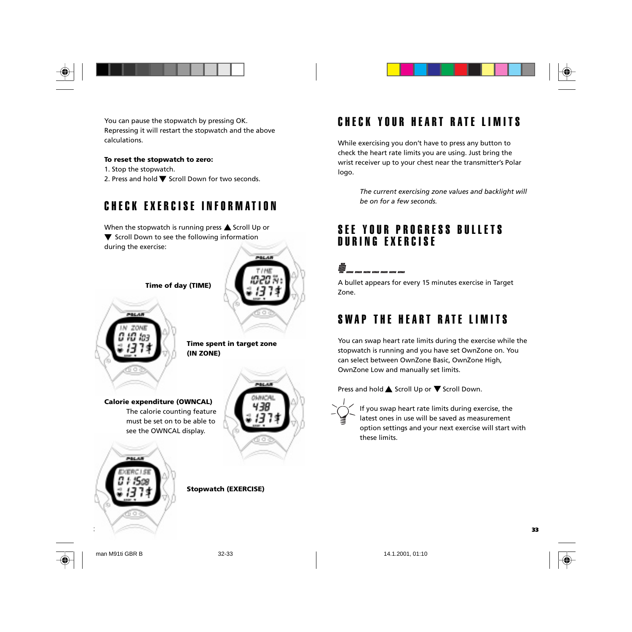



You can pause the stopwatch by pressing OK. Repressing it will restart the stopwatch and the above calculations.

#### **To reset the stopwatch to zero:**

- 1. Stop the stopwatch.
- 2. Press and hold  $\nabla$  Scroll Down for two seconds.

## CHECK EXERCISE INFORMATION

When the stopwatch is running press  $\triangle$  Scroll Up or  $\blacktriangledown$  Scroll Down to see the following information during the exercise:



**Time of day (TIME)**



mar 22

**Time spent in target zone (IN ZONE)**

**Calorie expenditure (OWNCAL)** The calorie counting feature must be set on to be able to see the OWNCAL display.



**Stopwatch (EXERCISE)**

### CHECK YOUR HEART RATE LIMITS

While exercising you don't have to press any button to check the heart rate limits you are using. Just bring the wrist receiver up to your chest near the transmitter's Polar logo.

> *The current exercising zone values and backlight will be on for a few seconds.*

### SEE YOUR PROGRESS BULLETS DURING EXERCISE

### illi)<br>1917<br>'917 nor om nor om om nor om

A bullet appears for every 15 minutes exercise in Target Zone.

## SWAP THE HEART RATE LIMITS

You can swap heart rate limits during the exercise while the stopwatch is running and you have set OwnZone on. You can select between OwnZone Basic, OwnZone High, OwnZone Low and manually set limits.

Press and hold  $\triangle$  Scroll Up or  $\nabla$  Scroll Down.



**32 33**

If you swap heart rate limits during exercise, the latest ones in use will be saved as measurement option settings and your next exercise will start with these limits.



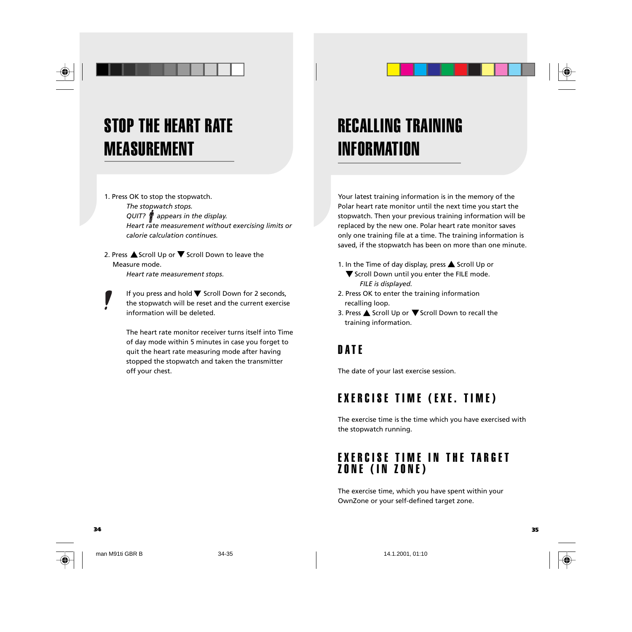# STOP THE HEART RATE MEASUREMENT

1. Press OK to stop the stopwatch. *The stopwatch stops. QUIT? appears in the display. Heart rate measurement without exercising limits or calorie calculation continues.*

2. Press  $\triangle$  Scroll Up or  $\nabla$  Scroll Down to leave the Measure mode.

*Heart rate measurement stops.*

If you press and hold  $\nabla$  Scroll Down for 2 seconds, the stopwatch will be reset and the current exercise information will be deleted.

The heart rate monitor receiver turns itself into Time of day mode within 5 minutes in case you forget to quit the heart rate measuring mode after having stopped the stopwatch and taken the transmitter off your chest.

## RECALLING TRAINING INFORMATION

Your latest training information is in the memory of the Polar heart rate monitor until the next time you start the stopwatch. Then your previous training information will be replaced by the new one. Polar heart rate monitor saves only one training file at a time. The training information is saved, if the stopwatch has been on more than one minute.

1. In the Time of day display, press  $\triangle$  Scroll Up or

- $\blacktriangledown$  Scroll Down until you enter the FILE mode. *FILE is displayed.*
- 2. Press OK to enter the training information recalling loop.
- 3. Press  $\triangle$  Scroll Up or  $\nabla$  Scroll Down to recall the training information.

### **DATE**

The date of your last exercise session.

### EXERCISE TIME (EXE. TIME)

The exercise time is the time which you have exercised with the stopwatch running.

### EXERCISE TIME IN THE TARGET ZONE (IN ZONE)

The exercise time, which you have spent within your OwnZone or your self-defined target zone.

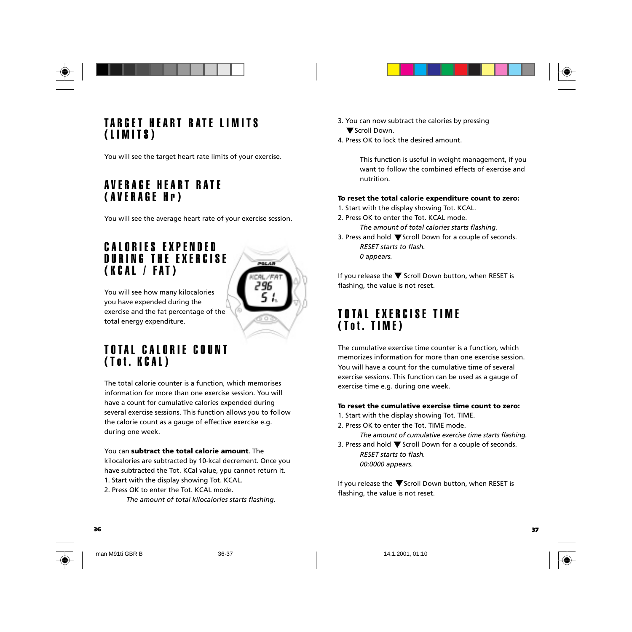

### TARGET HEART RATE LIMITS (LIMITS)

You will see the target heart rate limits of your exercise.

### AVERAGE HEART RATE (AVERAGE Hr)

You will see the average heart rate of your exercise session.

### CALORIES EXPENDED DURING THE EXERCISE (KCAL / FAT)



You will see how many kilocalories you have expended during the exercise and the fat percentage of the total energy expenditure.

### TOTAL CALORIE COUNT (Tot. KCAL)

The total calorie counter is a function, which memorises information for more than one exercise session. You will have a count for cumulative calories expended during several exercise sessions. This function allows you to follow the calorie count as a gauge of effective exercise e.g. during one week.

You can **subtract the total calorie amount**. The kilocalories are subtracted by 10-kcal decrement. Once you have subtracted the Tot. KCal value, ypu cannot return it.

1. Start with the display showing Tot. KCAL. 2. Press OK to enter the Tot. KCAL mode.

*The amount of total kilocalories starts flashing.*

- 3. You can now subtract the calories by pressing ▼ Scroll Down.
- 4. Press OK to lock the desired amount.

This function is useful in weight management, if you want to follow the combined effects of exercise and nutrition.

### **To reset the total calorie expenditure count to zero:**

1. Start with the display showing Tot. KCAL. 2. Press OK to enter the Tot. KCAL mode.

- *The amount of total calories starts flashing.*
- 3. Press and hold  $\nabla$  Scroll Down for a couple of seconds. *RESET starts to flash. 0 appears.*

If you release the  $\nabla$  Scroll Down button, when RESET is flashing, the value is not reset.

### TOTAL EXERCISE TIME (Tot. TIME)

The cumulative exercise time counter is a function, which memorizes information for more than one exercise session. You will have a count for the cumulative time of several exercise sessions. This function can be used as a gauge of exercise time e.g. during one week.

#### **To reset the cumulative exercise time count to zero:**

1. Start with the display showing Tot. TIME.

2. Press OK to enter the Tot. TIME mode.

*The amount of cumulative exercise time starts flashing.* 3. Press and hold  $\nabla$  Scroll Down for a couple of seconds.

*RESET starts to flash. 00:0000 appears.*

If you release the  $\nabla$  Scroll Down button, when RESET is flashing, the value is not reset.



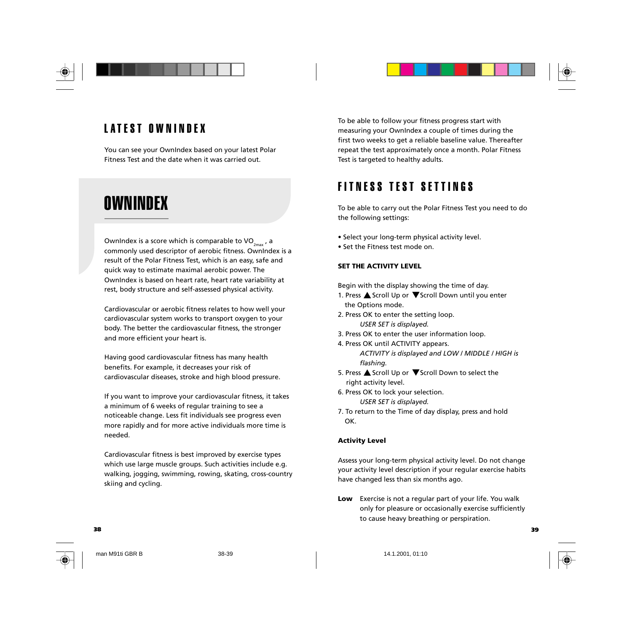

## LATEST OWNINDEX

You can see your OwnIndex based on your latest Polar Fitness Test and the date when it was carried out.

## OWNINDEX

OwnIndex is a score which is comparable to  $VO_{2n}$ , a commonly used descriptor of aerobic fitness. OwnIndex is a result of the Polar Fitness Test, which is an easy, safe and quick way to estimate maximal aerobic power. The OwnIndex is based on heart rate, heart rate variability at rest, body structure and self-assessed physical activity.

Cardiovascular or aerobic fitness relates to how well your cardiovascular system works to transport oxygen to your body. The better the cardiovascular fitness, the stronger and more efficient your heart is.

Having good cardiovascular fitness has many health benefits. For example, it decreases your risk of cardiovascular diseases, stroke and high blood pressure.

If you want to improve your cardiovascular fitness, it takes a minimum of 6 weeks of regular training to see a noticeable change. Less fit individuals see progress even more rapidly and for more active individuals more time is needed.

Cardiovascular fitness is best improved by exercise types which use large muscle groups. Such activities include e.g. walking, jogging, swimming, rowing, skating, cross-country skiing and cycling.

To be able to follow your fitness progress start with measuring your OwnIndex a couple of times during the first two weeks to get a reliable baseline value. Thereafter repeat the test approximately once a month. Polar Fitness Test is targeted to healthy adults.

## FITNESS TEST SETTINGS

To be able to carry out the Polar Fitness Test you need to do the following settings:

- Select your long-term physical activity level.
- Set the Fitness test mode on.

### **SET THE ACTIVITY LEVEL**

Begin with the display showing the time of day.

- 1. Press  $\triangle$  Scroll Up or  $\nabla$  Scroll Down until you enter the Options mode.
- 2. Press OK to enter the setting loop. *USER SET is displayed.*
- 3. Press OK to enter the user information loop.
- 4. Press OK until ACTIVITY appears. *ACTIVITY is displayed and LOW / MIDDLE / HIGH is flashing.*
- 5. Press  $\triangle$  Scroll Up or  $\nabla$  Scroll Down to select the right activity level.
- 6. Press OK to lock your selection. *USER SET is displayed.*
- 7. To return to the Time of day display, press and hold OK.

#### **Activity Level**

Assess your long-term physical activity level. Do not change your activity level description if your regular exercise habits have changed less than six months ago.

**Low** Exercise is not a regular part of your life. You walk only for pleasure or occasionally exercise sufficiently to cause heavy breathing or perspiration.

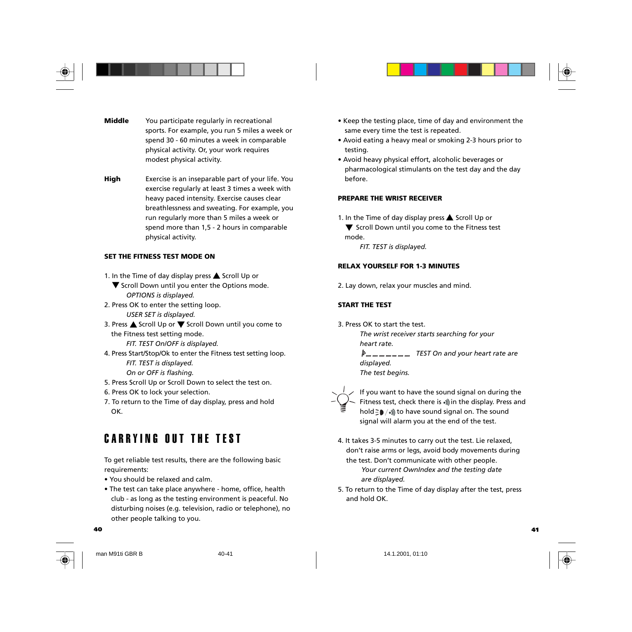



- **Middle** You participate regularly in recreational sports. For example, you run 5 miles a week or spend 30 - 60 minutes a week in comparable physical activity. Or, your work requires modest physical activity.
- **High** Exercise is an inseparable part of your life. You exercise regularly at least 3 times a week with heavy paced intensity. Exercise causes clear breathlessness and sweating. For example, you run regularly more than 5 miles a week or spend more than 1,5 - 2 hours in comparable physical activity.

### **SET THE FITNESS TEST MODE ON**

- 1. In the Time of day display press  $\triangle$  Scroll Up or
- $\blacktriangledown$  Scroll Down until you enter the Options mode. *OPTIONS is displayed.*
- 2. Press OK to enter the setting loop. *USER SET is displayed.*
- 3. Press  $\triangle$  Scroll Up or  $\nabla$  Scroll Down until you come to the Fitness test setting mode.
	- *FIT. TEST On/OFF is displayed.*
- 4. Press Start/Stop/Ok to enter the Fitness test setting loop. *FIT. TEST is displayed.*
	- *On or OFF is flashing.*
- 5. Press Scroll Up or Scroll Down to select the test on.
- 6. Press OK to lock your selection.
- 7. To return to the Time of day display, press and hold OK.

### CARRYING OUT THE TEST

To get reliable test results, there are the following basic requirements:

- You should be relaxed and calm.
- The test can take place anywhere home, office, health club - as long as the testing environment is peaceful. No disturbing noises (e.g. television, radio or telephone), no other people talking to you.
- Keep the testing place, time of day and environment the same every time the test is repeated.
- Avoid eating a heavy meal or smoking 2-3 hours prior to testing.
- Avoid heavy physical effort, alcoholic beverages or pharmacological stimulants on the test day and the day before.

### **PREPARE THE WRIST RECEIVER**

1. In the Time of day display press  $\triangle$  Scroll Up or

 $\blacktriangledown$  Scroll Down until you come to the Fitness test mode.

*FIT. TEST is displayed.*

### **RELAX YOURSELF FOR 1-3 MINUTES**

2. Lay down, relax your muscles and mind.

### **START THE TEST**

3. Press OK to start the test.

*The wrist receiver starts searching for your heart rate. TEST On and your heart rate are displayed.*

*The test begins.*



If you want to have the sound signal on during the Fitness test, check there is  $\cdot$ ) in the display. Press and hold  $\geq$   $\blacktriangleright$  / $\triangleleft$ ) to have sound signal on. The sound signal will alarm you at the end of the test.

- 4. It takes 3-5 minutes to carry out the test. Lie relaxed, don't raise arms or legs, avoid body movements during the test. Don't communicate with other people. *Your current OwnIndex and the testing date are displayed.*
- 5. To return to the Time of day display after the test, press and hold OK.



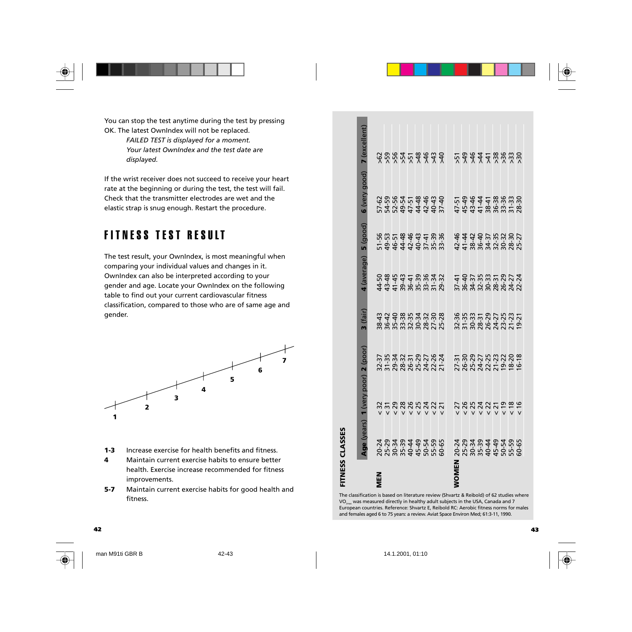

### FITNESS TEST RESULT



- **1-3** Increase exercise for health benefits and fitness.
- **4** Maintain current exercise habits to ensure better health. Exercise increase recommended for fitness improvements.
- **5-7** Maintain current exercise habits for good health and fitness.

| You can stop the test anytime during the test by pressing<br>OK. The latest OwnIndex will not be replaced.                                                                                                                                                                             |                                                                                                                                                                                                                                                                                                                                                                                                                                                                                   |
|----------------------------------------------------------------------------------------------------------------------------------------------------------------------------------------------------------------------------------------------------------------------------------------|-----------------------------------------------------------------------------------------------------------------------------------------------------------------------------------------------------------------------------------------------------------------------------------------------------------------------------------------------------------------------------------------------------------------------------------------------------------------------------------|
| FAILED TEST is displayed for a moment.<br>Your latest OwnIndex and the test date are<br>displayed.                                                                                                                                                                                     | 7 (excellent)<br>8887777777<br>5333588888                                                                                                                                                                                                                                                                                                                                                                                                                                         |
| If the wrist receiver does not succeed to receive your heart<br>rate at the beginning or during the test, the test will fail.<br>Check that the transmitter electrodes are wet and the<br>elastic strap is snug enough. Restart the procedure.                                         | 6 (very good)<br>$52887799999$<br>$-2599999999999999$<br>$4444$ $458$ $89$ $82$ $25$<br>$464$ $45$ $89$ $89$ $25$ $25$<br>$47 - 51$                                                                                                                                                                                                                                                                                                                                               |
| <b>FITNESS TEST RESULT</b>                                                                                                                                                                                                                                                             | $5$ (good)<br>42-46                                                                                                                                                                                                                                                                                                                                                                                                                                                               |
| The test result, your OwnIndex, is most meaningful when<br>comparing your individual values and changes in it.<br>OwnIndex can also be interpreted according to your<br>gender and age. Locate your OwnIndex on the following<br>table to find out your current cardiovascular fitness | 4 (average)<br>44-50<br>43-48                                                                                                                                                                                                                                                                                                                                                                                                                                                     |
| classification, compared to those who are of same age and<br>gender.                                                                                                                                                                                                                   | 3(fair)<br>388888888275888888888888                                                                                                                                                                                                                                                                                                                                                                                                                                               |
| $\overline{ }$<br>6<br>5                                                                                                                                                                                                                                                               | 1 (very poor) 2 (poor)<br>25-29<br>24-27<br>22-25<br>$\begin{array}{c} 37.37 \\ 31.31 \\ 79.34 \\ 28.37 \\ 26.31 \\ 27.31 \\ 28.32 \\ 29.33 \\ 29.33 \\ 29.33 \\ 29.33 \\ 29.33 \\ 29.33 \\ 29.33 \\ 29.33 \\ 29.33 \\ 29.33 \\ 29.33 \\ 29.33 \\ 29.33 \\ 29.33 \\ 29.33 \\ 29.33 \\ 29.33 \\ 29.33 \\ 29.33 \\ 29.33 \\ 29.33 \\ 29.33 \\ 29.33 \\ 29$<br>24-27<br>22-26<br>21-24<br>27-31<br>26-30<br>$21 - 23$<br>$\begin{array}{r}\n 9.22 \\  -8.20 \\  -6.18\n \end{array}$ |
| 4<br>3<br>$\overline{2}$<br>1                                                                                                                                                                                                                                                          | <b>358853325</b><br>ひあなみひひ<br>555<br><b>V V V V V V V V</b><br><b>V V V V V V V V</b>                                                                                                                                                                                                                                                                                                                                                                                             |
| Increase exercise for health benefits and fitness.<br>$1-3$                                                                                                                                                                                                                            | Age (years)<br>FITNESS CLASSES<br>223334<br>223434<br>2234<br>45-49<br>50-54<br>55-59<br>60-65<br>25-29<br>30-34<br>35-39<br>40-44<br>45-49<br>50-54<br>55-59<br>60-65<br>$20 - 24$                                                                                                                                                                                                                                                                                               |
| Maintain current exercise habits to ensure better<br>4<br>health. Exercise increase recommended for fitness<br>improvements.<br>$5 - 7$<br>Maintain current exercise habits for good health and                                                                                        | <b>WOMEN</b><br><b>MEN</b>                                                                                                                                                                                                                                                                                                                                                                                                                                                        |
| fitness.                                                                                                                                                                                                                                                                               | The classification is based on literature review (Shvartz & Reibold) of 62 studies where<br>VO <sub>2ma</sub> was measured directly in healthy adult subjects in the USA, Canada and 7<br>European countries. Reference: Shvartz E, Reibold RC: Aerobic fitness norms for males<br>and females aged 6 to 75 years: a review. Aviat Space Environ Med; 61:3-11, 1990.                                                                                                              |
|                                                                                                                                                                                                                                                                                        |                                                                                                                                                                                                                                                                                                                                                                                                                                                                                   |



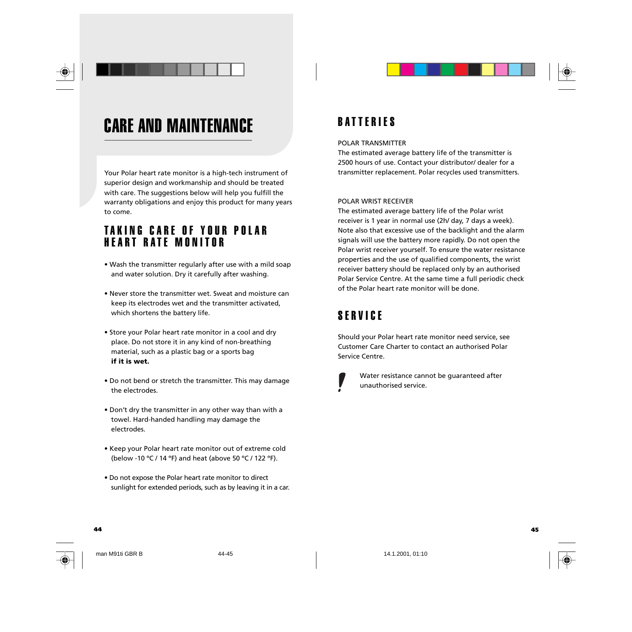

## CARE AND MAINTENANCE

Your Polar heart rate monitor is a high-tech instrument of superior design and workmanship and should be treated with care. The suggestions below will help you fulfill the warranty obligations and enjoy this product for many years to come.

### TAKING CARE OF YOUR POLAR HEART RATE MONITOR

- Wash the transmitter regularly after use with a mild soap and water solution. Dry it carefully after washing.
- Never store the transmitter wet. Sweat and moisture can keep its electrodes wet and the transmitter activated, which shortens the battery life.
- Store your Polar heart rate monitor in a cool and dry place. Do not store it in any kind of non-breathing material, such as a plastic bag or a sports bag **if it is wet.**
- Do not bend or stretch the transmitter. This may damage the electrodes.
- Don't dry the transmitter in any other way than with a towel. Hard-handed handling may damage the electrodes.
- Keep your Polar heart rate monitor out of extreme cold (below -10 ºC / 14 ºF) and heat (above 50 ºC / 122 ºF).
- Do not expose the Polar heart rate monitor to direct sunlight for extended periods, such as by leaving it in a car.

### BATTERIES

#### POLAR TRANSMITTER

The estimated average battery life of the transmitter is 2500 hours of use. Contact your distributor/ dealer for a transmitter replacement. Polar recycles used transmitters.

### POLAR WRIST RECEIVER

The estimated average battery life of the Polar wrist receiver is 1 year in normal use (2h/ day, 7 days a week). Note also that excessive use of the backlight and the alarm signals will use the battery more rapidly. Do not open the Polar wrist receiver yourself. To ensure the water resistance properties and the use of qualified components, the wrist receiver battery should be replaced only by an authorised Polar Service Centre. At the same time a full periodic check of the Polar heart rate monitor will be done.

### SERVICE

Should your Polar heart rate monitor need service, see Customer Care Charter to contact an authorised Polar Service Centre.



Water resistance cannot be guaranteed after unauthorised service.

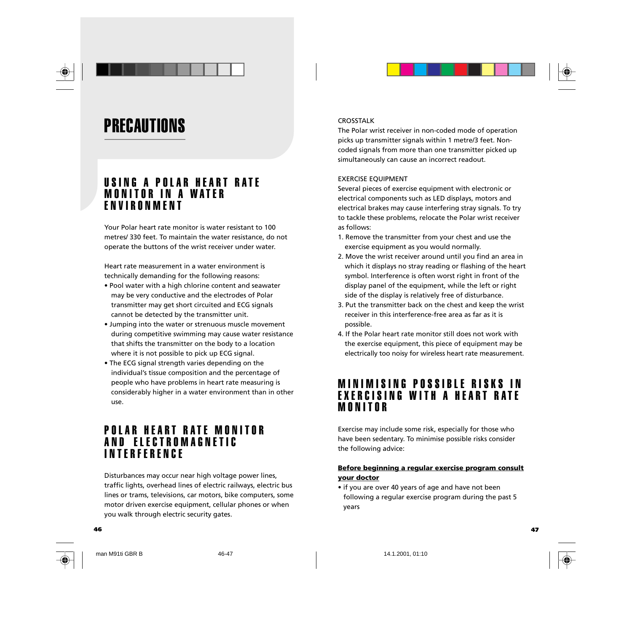

## **PRECAUTIONS**

### USING A POLAR HEART RATE MONITOR IN A WATER ENVIRONMENT

Your Polar heart rate monitor is water resistant to 100 metres/ 330 feet. To maintain the water resistance, do not operate the buttons of the wrist receiver under water.

Heart rate measurement in a water environment is technically demanding for the following reasons:

- Pool water with a high chlorine content and seawater may be very conductive and the electrodes of Polar transmitter may get short circuited and ECG signals cannot be detected by the transmitter unit.
- Jumping into the water or strenuous muscle movement during competitive swimming may cause water resistance that shifts the transmitter on the body to a location where it is not possible to pick up ECG signal.
- The ECG signal strength varies depending on the individual's tissue composition and the percentage of people who have problems in heart rate measuring is considerably higher in a water environment than in other use.

### POLAR HEART RATE MONITOR AND ELECTROMAGNETIC INTERFERENCE

Disturbances may occur near high voltage power lines, traffic lights, overhead lines of electric railways, electric bus lines or trams, televisions, car motors, bike computers, some motor driven exercise equipment, cellular phones or when you walk through electric security gates.

### CROSSTALK

The Polar wrist receiver in non-coded mode of operation picks up transmitter signals within 1 metre/3 feet. Noncoded signals from more than one transmitter picked up simultaneously can cause an incorrect readout.

#### EXERCISE EQUIPMENT

Several pieces of exercise equipment with electronic or electrical components such as LED displays, motors and electrical brakes may cause interfering stray signals. To try to tackle these problems, relocate the Polar wrist receiver as follows:

- 1. Remove the transmitter from your chest and use the exercise equipment as you would normally.
- 2. Move the wrist receiver around until you find an area in which it displays no stray reading or flashing of the heart symbol. Interference is often worst right in front of the display panel of the equipment, while the left or right side of the display is relatively free of disturbance.
- 3. Put the transmitter back on the chest and keep the wrist receiver in this interference-free area as far as it is possible.
- 4. If the Polar heart rate monitor still does not work with the exercise equipment, this piece of equipment may be electrically too noisy for wireless heart rate measurement.

### MINIMISING POSSIBLE RISKS IN EXERCISING WITH A HEART RATE MONITOR

Exercise may include some risk, especially for those who have been sedentary. To minimise possible risks consider the following advice:

### **Before beginning a regular exercise program consult your doctor**

• if you are over 40 years of age and have not been following a regular exercise program during the past 5 years

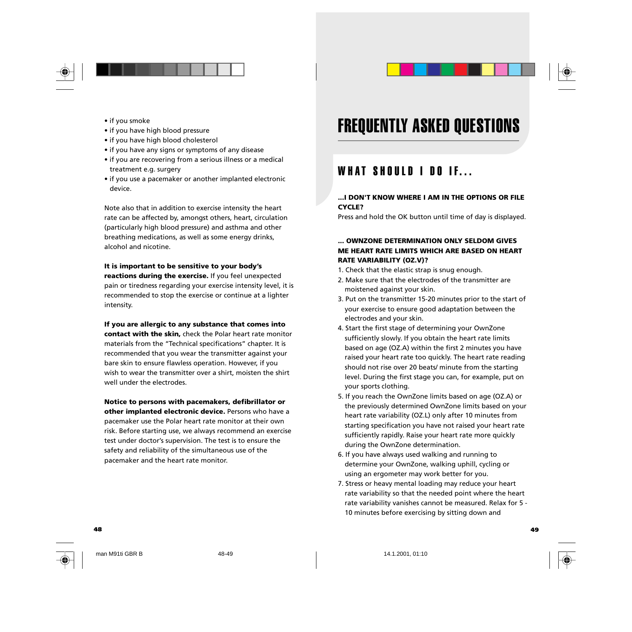

- if you smoke
- if you have high blood pressure
- if you have high blood cholesterol
- if you have any signs or symptoms of any disease
- if you are recovering from a serious illness or a medical treatment e.g. surgery
- if you use a pacemaker or another implanted electronic device.

Note also that in addition to exercise intensity the heart rate can be affected by, amongst others, heart, circulation (particularly high blood pressure) and asthma and other breathing medications, as well as some energy drinks, alcohol and nicotine.

### **It is important to be sensitive to your body's reactions during the exercise.** If you feel unexpected pain or tiredness regarding your exercise intensity level, it is recommended to stop the exercise or continue at a lighter intensity.

**If you are allergic to any substance that comes into contact with the skin,** check the Polar heart rate monitor materials from the "Technical specifications" chapter. It is recommended that you wear the transmitter against your bare skin to ensure flawless operation. However, if you wish to wear the transmitter over a shirt, moisten the shirt well under the electrodes.

**Notice to persons with pacemakers, defibrillator or other implanted electronic device.** Persons who have a pacemaker use the Polar heart rate monitor at their own risk. Before starting use, we always recommend an exercise test under doctor's supervision. The test is to ensure the safety and reliability of the simultaneous use of the pacemaker and the heart rate monitor.

## FREQUENTLY ASKED QUESTIONS

### WHAT SHOULD I DO IF...

### **...I DON'T KNOW WHERE I AM IN THE OPTIONS OR FILE CYCLE?**

Press and hold the OK button until time of day is displayed.

### **... OWNZONE DETERMINATION ONLY SELDOM GIVES ME HEART RATE LIMITS WHICH ARE BASED ON HEART RATE VARIABILITY (OZ.V)?**

- 1. Check that the elastic strap is snug enough.
- 2. Make sure that the electrodes of the transmitter are moistened against your skin.
- 3. Put on the transmitter 15-20 minutes prior to the start of your exercise to ensure good adaptation between the electrodes and your skin.
- 4. Start the first stage of determining your OwnZone sufficiently slowly. If you obtain the heart rate limits based on age (OZ.A) within the first 2 minutes you have raised your heart rate too quickly. The heart rate reading should not rise over 20 beats/ minute from the starting level. During the first stage you can, for example, put on your sports clothing.
- 5. If you reach the OwnZone limits based on age (OZ.A) or the previously determined OwnZone limits based on your heart rate variability (OZ.L) only after 10 minutes from starting specification you have not raised your heart rate sufficiently rapidly. Raise your heart rate more quickly during the OwnZone determination.
- 6. If you have always used walking and running to determine your OwnZone, walking uphill, cycling or using an ergometer may work better for you.
- 7. Stress or heavy mental loading may reduce your heart rate variability so that the needed point where the heart rate variability vanishes cannot be measured. Relax for 5 - 10 minutes before exercising by sitting down and

**48 49**



man M91ti GBR B 48-49 148-49 148-49 15 14.1.2001, 01:10

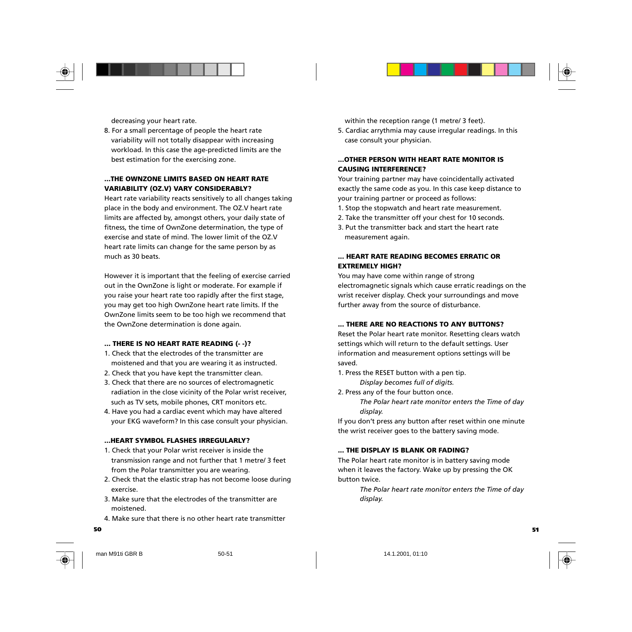



8. For a small percentage of people the heart rate variability will not totally disappear with increasing workload. In this case the age-predicted limits are the best estimation for the exercising zone.

#### **...THE OWNZONE LIMITS BASED ON HEART RATE VARIABILITY (OZ.V) VARY CONSIDERABLY?**

Heart rate variability reacts sensitively to all changes taking place in the body and environment. The OZ.V heart rate limits are affected by, amongst others, your daily state of fitness, the time of OwnZone determination, the type of exercise and state of mind. The lower limit of the OZ.V heart rate limits can change for the same person by as much as 30 beats.

However it is important that the feeling of exercise carried out in the OwnZone is light or moderate. For example if you raise your heart rate too rapidly after the first stage, you may get too high OwnZone heart rate limits. If the OwnZone limits seem to be too high we recommend that the OwnZone determination is done again.

### **... THERE IS NO HEART RATE READING (- -)?**

- 1. Check that the electrodes of the transmitter are moistened and that you are wearing it as instructed.
- 2. Check that you have kept the transmitter clean.
- 3. Check that there are no sources of electromagnetic radiation in the close vicinity of the Polar wrist receiver, such as TV sets, mobile phones, CRT monitors etc.
- 4. Have you had a cardiac event which may have altered your EKG waveform? In this case consult your physician.

#### **...HEART SYMBOL FLASHES IRREGULARLY?**

- 1. Check that your Polar wrist receiver is inside the transmission range and not further that 1 metre/ 3 feet from the Polar transmitter you are wearing.
- 2. Check that the elastic strap has not become loose during exercise.
- 3. Make sure that the electrodes of the transmitter are moistened.
- 4. Make sure that there is no other heart rate transmitter

within the reception range (1 metre/ 3 feet).

5. Cardiac arrythmia may cause irregular readings. In this case consult your physician.

### **...OTHER PERSON WITH HEART RATE MONITOR IS CAUSING INTERFERENCE?**

Your training partner may have coincidentally activated exactly the same code as you. In this case keep distance to your training partner or proceed as follows:

- 1. Stop the stopwatch and heart rate measurement.
- 2. Take the transmitter off your chest for 10 seconds.
- 3. Put the transmitter back and start the heart rate measurement again.

### **... HEART RATE READING BECOMES ERRATIC OR EXTREMELY HIGH?**

You may have come within range of strong electromagnetic signals which cause erratic readings on the wrist receiver display. Check your surroundings and move further away from the source of disturbance.

#### **... THERE ARE NO REACTIONS TO ANY BUTTONS?**

Reset the Polar heart rate monitor. Resetting clears watch settings which will return to the default settings. User information and measurement options settings will be saved.

- 1. Press the RESET button with a pen tip. *Display becomes full of digits.*
- 2. Press any of the four button once. *The Polar heart rate monitor enters the Time of day display.*

If you don't press any button after reset within one minute the wrist receiver goes to the battery saving mode.

#### **... THE DISPLAY IS BLANK OR FADING?**

The Polar heart rate monitor is in battery saving mode when it leaves the factory. Wake up by pressing the OK button twice.

> *The Polar heart rate monitor enters the Time of day display.*



man M91ti GBR B 50-51 50-51 14.1.2001, 01:10

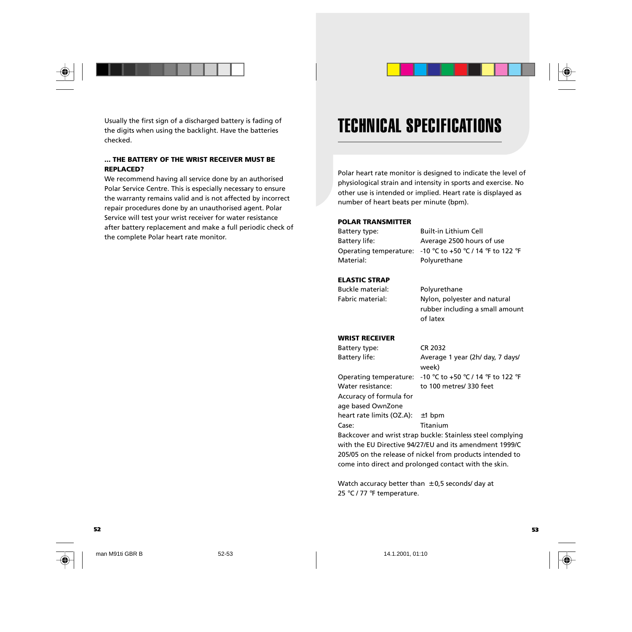

Usually the first sign of a discharged battery is fading of the digits when using the backlight. Have the batteries checked.

### **... THE BATTERY OF THE WRIST RECEIVER MUST BE REPLACED?**

We recommend having all service done by an authorised Polar Service Centre. This is especially necessary to ensure the warranty remains valid and is not affected by incorrect repair procedures done by an unauthorised agent. Polar Service will test your wrist receiver for water resistance after battery replacement and make a full periodic check of the complete Polar heart rate monitor.

## TECHNICAL SPECIFICATIONS

Polar heart rate monitor is designed to indicate the level of physiological strain and intensity in sports and exercise. No other use is intended or implied. Heart rate is displayed as number of heart beats per minute (bpm).

#### **POLAR TRANSMITTER**

Battery type: Built-in Lithium Cell Battery life: Average 2500 hours of use Material: Polyurethane

Operating temperature: -10 °C to +50 °C / 14 °F to 122 °F

### **ELASTIC STRAP**

Buckle material: Polyurethane Fabric material: Nylon, polyester and natural rubber including a small amount of latex

### **WRIST RECEIVER**

Battery type: CR 2032 Battery life: Average 1 year (2h/ day, 7 days/ week) Operating temperature: -10 °C to +50 °C / 14 °F to 122 °F Water resistance: to 100 metres/ 330 feet Accuracy of formula for age based OwnZone heart rate limits (OZ.A): ±1 bpm Case: Titanium Backcover and wrist strap buckle: Stainless steel complying with the EU Directive 94/27/EU and its amendment 1999/C 205/05 on the release of nickel from products intended to

Watch accuracy better than  $\pm$  0,5 seconds/ day at 25 °C / 77 °F temperature.

come into direct and prolonged contact with the skin.



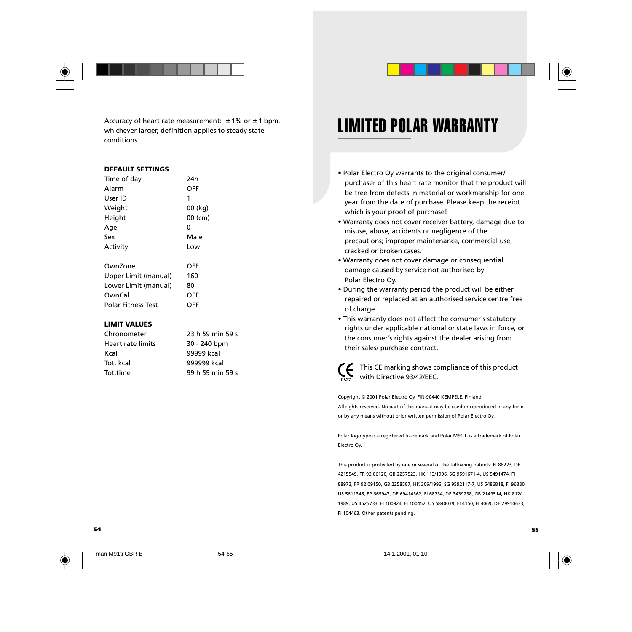

Accuracy of heart rate measurement:  $\pm$  1% or  $\pm$  1 bpm, whichever larger, definition applies to steady state conditions

#### **DEFAULT SETTINGS**

| Time of day               | 24h     |
|---------------------------|---------|
| Alarm                     | OFF     |
| User ID                   | 1       |
| Weight                    | 00 (kg) |
| Height                    | 00 (cm) |
| Age                       | 0       |
| Sex                       | Male    |
| Activity                  | Low     |
| OwnZone                   | OFF     |
| Upper Limit (manual)      | 160     |
| Lower Limit (manual)      | 80      |
| OwnCal                    | OFF     |
| <b>Polar Fitness Test</b> | OFF     |

#### **LIMIT VALUES**

| Chronometer              | 23 h 59 min 59 s |
|--------------------------|------------------|
| <b>Heart rate limits</b> | 30 - 240 bpm     |
| Kcal                     | 99999 kcal       |
| Tot. kcal                | 999999 kcal      |
| Tot.time                 | 99 h 59 min 59 s |

## LIMITED POLAR WARRANTY

- Polar Electro Oy warrants to the original consumer/ purchaser of this heart rate monitor that the product will be free from defects in material or workmanship for one year from the date of purchase. Please keep the receipt which is your proof of purchase!
- Warranty does not cover receiver battery, damage due to misuse, abuse, accidents or negligence of the precautions; improper maintenance, commercial use, cracked or broken cases.
- Warranty does not cover damage or consequential damage caused by service not authorised by Polar Electro Oy.
- During the warranty period the product will be either repaired or replaced at an authorised service centre free of charge.
- This warranty does not affect the consumer´s statutory rights under applicable national or state laws in force, or the consumer´s rights against the dealer arising from their sales/ purchase contract.



This CE marking shows compliance of this product with Directive 93/42/EEC.

Copyright © 2001 Polar Electro Oy, FIN-90440 KEMPELE, Finland All rights reserved. No part of this manual may be used or reproduced in any form or by any means without prior written permission of Polar Electro Oy.

Polar logotype is a registered trademark and Polar M91 ti is a trademark of Polar Electro Oy.

This product is protected by one or several of the following patents: FI 88223, DE 4215549, FR 92.06120, GB 2257523, HK 113/1996, SG 9591671-4, US 5491474, FI 88972, FR 92.09150, GB 2258587, HK 306/1996, SG 9592117-7, US 5486818, FI 96380, US 5611346, EP 665947, DE 69414362, FI 68734, DE 3439238, GB 2149514, HK 812/ 1989, US 4625733, FI 100924, FI 100452, US 5840039, FI 4150, FI 4069, DE 29910633, FI 104463. Other patents pending.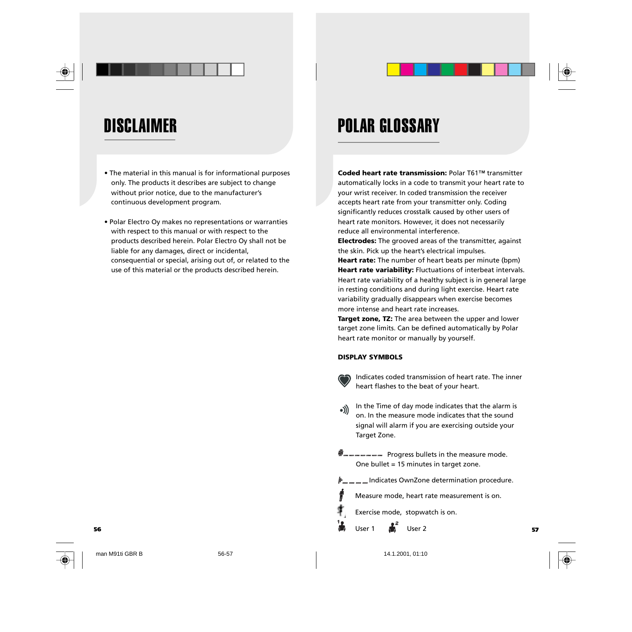



## **DISCLAIMER**

- The material in this manual is for informational purposes only. The products it describes are subject to change without prior notice, due to the manufacturer's continuous development program.
- Polar Electro Oy makes no representations or warranties with respect to this manual or with respect to the products described herein. Polar Electro Oy shall not be liable for any damages, direct or incidental, consequential or special, arising out of, or related to the use of this material or the products described herein.

## POLAR GLOSSARY

**Coded heart rate transmission:** Polar T61™ transmitter automatically locks in a code to transmit your heart rate to your wrist receiver. In coded transmission the receiver accepts heart rate from your transmitter only. Coding significantly reduces crosstalk caused by other users of heart rate monitors. However, it does not necessarily reduce all environmental interference.

**Electrodes:** The grooved areas of the transmitter, against the skin. Pick up the heart's electrical impulses.

**Heart rate:** The number of heart beats per minute (bpm) **Heart rate variability:** Fluctuations of interbeat intervals. Heart rate variability of a healthy subject is in general large in resting conditions and during light exercise. Heart rate variability gradually disappears when exercise becomes more intense and heart rate increases.

**Target zone, TZ:** The area between the upper and lower target zone limits. Can be defined automatically by Polar heart rate monitor or manually by yourself.

### **DISPLAY SYMBOLS**

Indicates coded transmission of heart rate. The inner heart flashes to the beat of your heart.

- In the Time of day mode indicates that the alarm is  $\bullet$ )) on. In the measure mode indicates that the sound signal will alarm if you are exercising outside your Target Zone.
- **W** <u>w</u> w w w w w w w Progress bullets in the measure mode. One bullet = 15 minutes in target zone.
- Indicates OwnZone determination procedure.
	- Measure mode, heart rate measurement is on.
	- Exercise mode, stopwatch is on.
- **56 57** User 1  $\overline{\mathbf{u}}$  User 2
	-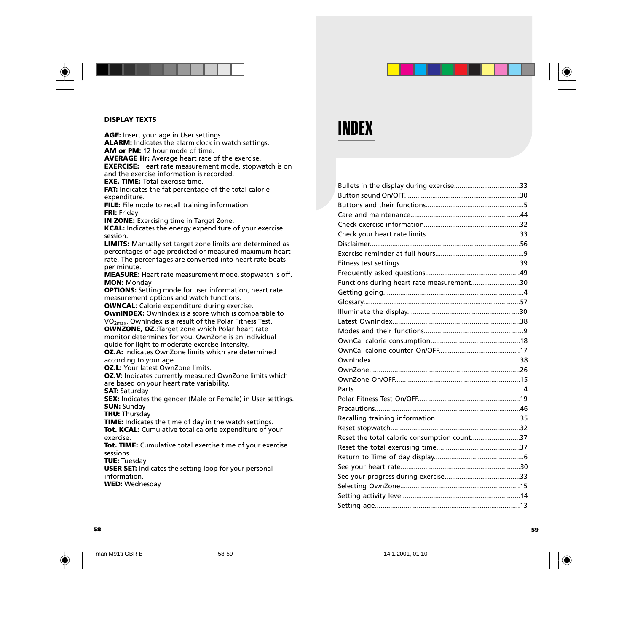

#### **DISPLAY TEXTS**

**AGE:** Insert your age in User settings. **ALARM:** Indicates the alarm clock in watch settings. **AM or PM:** 12 hour mode of time. **AVERAGE Hr:** Average heart rate of the exercise. **EXERCISE:** Heart rate measurement mode, stopwatch is on and the exercise information is recorded. **EXE. TIME:** Total exercise time. **FAT:** Indicates the fat percentage of the total calorie expenditure. **FILE:** File mode to recall training information. **FRI:** Friday **IN ZONE:** Exercising time in Target Zone. **KCAL:** Indicates the energy expenditure of your exercise session. **LIMITS:** Manually set target zone limits are determined as percentages of age predicted or measured maximum heart rate. The percentages are converted into heart rate beats per minute. **MEASURE:** Heart rate measurement mode, stopwatch is off. **MON:** Monday **OPTIONS:** Setting mode for user information, heart rate measurement options and watch functions. **OWNCAL:** Calorie expenditure during exercise. **OwnINDEX:** OwnIndex is a score which is comparable to VO2max. OwnIndex is a result of the Polar Fitness Test. **OWNZONE, OZ.**:Target zone which Polar heart rate monitor determines for you. OwnZone is an individual guide for light to moderate exercise intensity. **OZ.A:** Indicates OwnZone limits which are determined according to your age. **OZ.L:** Your latest OwnZone limits. **OZ.V:** Indicates currently measured OwnZone limits which are based on your heart rate variability.

**SAT:** Saturday

**SEX:** Indicates the gender (Male or Female) in User settings. **SUN:** Sunday

**THU:** Thursday

**TIME:** Indicates the time of day in the watch settings. **Tot. KCAL:** Cumulative total calorie expenditure of your exercise.

**Tot. TIME:** Cumulative total exercise time of your exercise sessions.

**TUE:** Tuesday

**USER SET:** Indicates the setting loop for your personal information.

**WED:** Wednesday

## INDEX

| Bullets in the display during exercise33    |  |
|---------------------------------------------|--|
|                                             |  |
|                                             |  |
|                                             |  |
|                                             |  |
|                                             |  |
|                                             |  |
|                                             |  |
|                                             |  |
|                                             |  |
| Functions during heart rate measurement30   |  |
|                                             |  |
|                                             |  |
|                                             |  |
|                                             |  |
|                                             |  |
|                                             |  |
|                                             |  |
|                                             |  |
|                                             |  |
|                                             |  |
|                                             |  |
|                                             |  |
|                                             |  |
|                                             |  |
|                                             |  |
| Reset the total calorie consumption count37 |  |
|                                             |  |
|                                             |  |
|                                             |  |
|                                             |  |
|                                             |  |
|                                             |  |
|                                             |  |



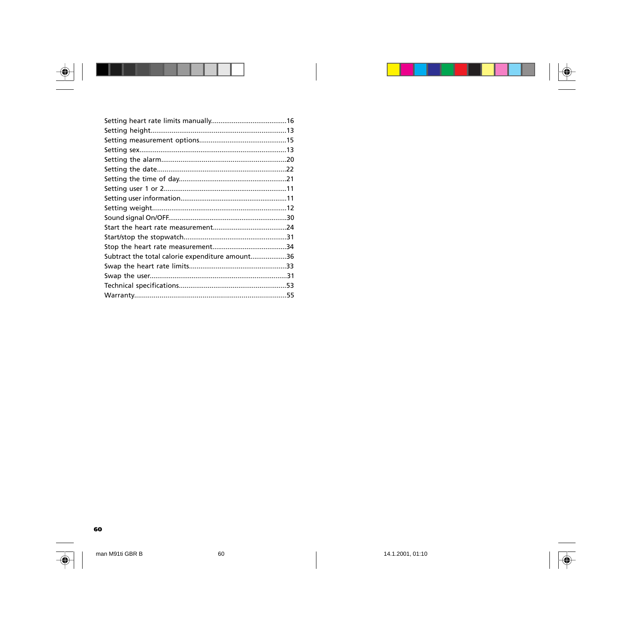

| ı<br>I |  |  |
|--------|--|--|
|        |  |  |

| Subtract the total calorie expenditure amount36 |  |
|-------------------------------------------------|--|
|                                                 |  |
|                                                 |  |
|                                                 |  |
|                                                 |  |
|                                                 |  |

 $\begin{array}{c} \hline \end{array}$ 



man M91ti GBR B

60

 $\begin{array}{c} \hline \end{array}$ 

 $|\overline{\blacklozenge}$